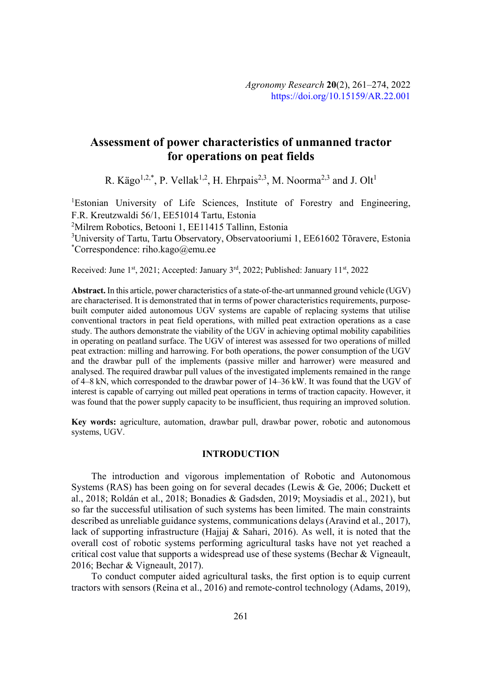# **Assessment of power characteristics of unmanned tractor for operations on peat fields**

R. Kägo<sup>1,2,\*</sup>, P. Vellak<sup>1,2</sup>, H. Ehrpais<sup>2,3</sup>, M. Noorma<sup>2,3</sup> and J. Olt<sup>1</sup>

<sup>1</sup>Estonian University of Life Sciences, Institute of Forestry and Engineering, F.R. Kreutzwaldi 56/1, EE51014 Tartu, Estonia

2 Milrem Robotics, Betooni 1, EE11415 Tallinn, Estonia

<sup>3</sup>University of Tartu, Tartu Observatory, Observatooriumi 1, EE61602 Tõravere, Estonia \* Correspondence: riho.kago@emu.ee

Received: June 1st, 2021; Accepted: January 3rd, 2022; Published: January 11st, 2022

**Abstract.** In this article, power characteristics of a state-of-the-art unmanned ground vehicle (UGV) are characterised. It is demonstrated that in terms of power characteristics requirements, purposebuilt computer aided autonomous UGV systems are capable of replacing systems that utilise conventional tractors in peat field operations, with milled peat extraction operations as a case study. The authors demonstrate the viability of the UGV in achieving optimal mobility capabilities in operating on peatland surface. The UGV of interest was assessed for two operations of milled peat extraction: milling and harrowing. For both operations, the power consumption of the UGV and the drawbar pull of the implements (passive miller and harrower) were measured and analysed. The required drawbar pull values of the investigated implements remained in the range of 4–8 kN, which corresponded to the drawbar power of 14–36 kW. It was found that the UGV of interest is capable of carrying out milled peat operations in terms of traction capacity. However, it was found that the power supply capacity to be insufficient, thus requiring an improved solution.

**Key words:** agriculture, automation, drawbar pull, drawbar power, robotic and autonomous systems, UGV.

## **INTRODUCTION**

The introduction and vigorous implementation of Robotic and Autonomous Systems (RAS) has been going on for several decades (Lewis & Ge, 2006; Duckett et al., 2018; Roldán et al., 2018; Bonadies & Gadsden, 2019; Moysiadis et al., 2021), but so far the successful utilisation of such systems has been limited. The main constraints described as unreliable guidance systems, communications delays (Aravind et al., 2017), lack of supporting infrastructure (Hajjaj & Sahari, 2016). As well, it is noted that the overall cost of robotic systems performing agricultural tasks have not yet reached a critical cost value that supports a widespread use of these systems (Bechar & Vigneault, 2016; Bechar & Vigneault, 2017).

To conduct computer aided agricultural tasks, the first option is to equip current tractors with sensors (Reina et al., 2016) and remote-control technology (Adams, 2019),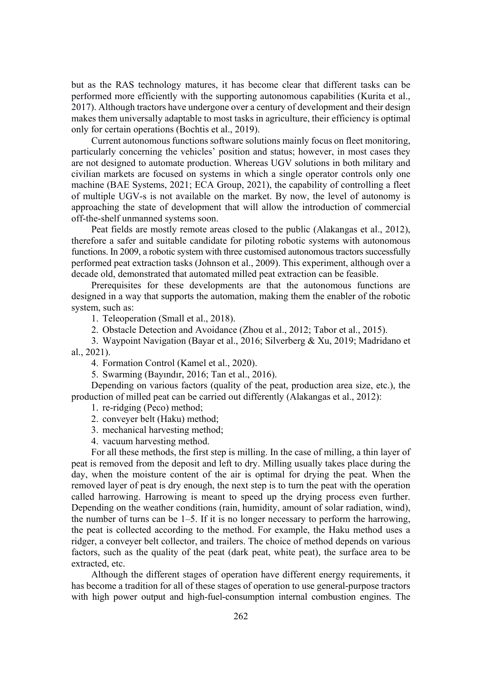but as the RAS technology matures, it has become clear that different tasks can be performed more efficiently with the supporting autonomous capabilities (Kurita et al., 2017). Although tractors have undergone over a century of development and their design makes them universally adaptable to most tasks in agriculture, their efficiency is optimal only for certain operations (Bochtis et al., 2019).

Current autonomous functions software solutions mainly focus on fleet monitoring, particularly concerning the vehicles' position and status; however, in most cases they are not designed to automate production. Whereas UGV solutions in both military and civilian markets are focused on systems in which a single operator controls only one machine (BAE Systems, 2021; ECA Group, 2021), the capability of controlling a fleet of multiple UGV-s is not available on the market. By now, the level of autonomy is approaching the state of development that will allow the introduction of commercial off-the-shelf unmanned systems soon.

Peat fields are mostly remote areas closed to the public (Alakangas et al., 2012), therefore a safer and suitable candidate for piloting robotic systems with autonomous functions. In 2009, a robotic system with three customised autonomous tractors successfully performed peat extraction tasks (Johnson et al., 2009). This experiment, although over a decade old, demonstrated that automated milled peat extraction can be feasible.

Prerequisites for these developments are that the autonomous functions are designed in a way that supports the automation, making them the enabler of the robotic system, such as:

1. Teleoperation (Small et al., 2018).

2. Obstacle Detection and Avoidance (Zhou et al., 2012; Tabor et al., 2015).

3. Waypoint Navigation (Bayar et al., 2016; Silverberg & Xu, 2019; Madridano et al., 2021).

4. Formation Control (Kamel et al., 2020).

5. Swarming (Bayındır, 2016; Tan et al., 2016).

Depending on various factors (quality of the peat, production area size, etc.), the production of milled peat can be carried out differently (Alakangas et al., 2012):

- 1. re-ridging (Peco) method;
- 2. conveyer belt (Haku) method;
- 3. mechanical harvesting method;
- 4. vacuum harvesting method.

For all these methods, the first step is milling. In the case of milling, a thin layer of peat is removed from the deposit and left to dry. Milling usually takes place during the day, when the moisture content of the air is optimal for drying the peat. When the removed layer of peat is dry enough, the next step is to turn the peat with the operation called harrowing. Harrowing is meant to speed up the drying process even further. Depending on the weather conditions (rain, humidity, amount of solar radiation, wind), the number of turns can be 1–5. If it is no longer necessary to perform the harrowing, the peat is collected according to the method. For example, the Haku method uses a ridger, a conveyer belt collector, and trailers. The choice of method depends on various factors, such as the quality of the peat (dark peat, white peat), the surface area to be extracted, etc.

Although the different stages of operation have different energy requirements, it has become a tradition for all of these stages of operation to use general-purpose tractors with high power output and high-fuel-consumption internal combustion engines. The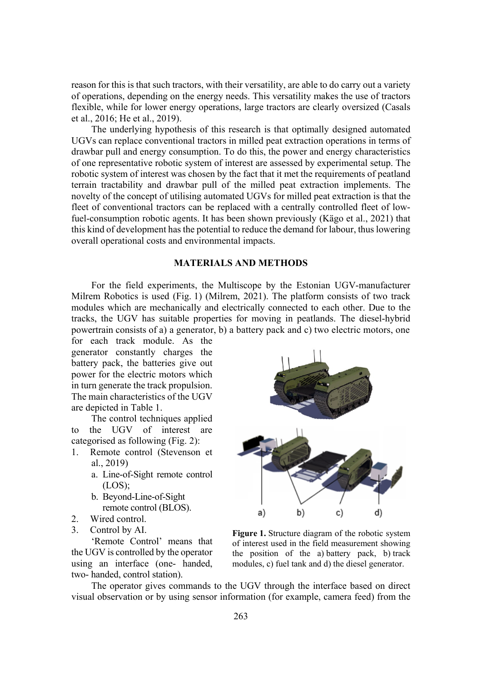reason for this is that such tractors, with their versatility, are able to do carry out a variety of operations, depending on the energy needs. This versatility makes the use of tractors flexible, while for lower energy operations, large tractors are clearly oversized (Casals et al., 2016; He et al., 2019).

The underlying hypothesis of this research is that optimally designed automated UGVs can replace conventional tractors in milled peat extraction operations in terms of drawbar pull and energy consumption. To do this, the power and energy characteristics of one representative robotic system of interest are assessed by experimental setup. The robotic system of interest was chosen by the fact that it met the requirements of peatland terrain tractability and drawbar pull of the milled peat extraction implements. The novelty of the concept of utilising automated UGVs for milled peat extraction is that the fleet of conventional tractors can be replaced with a centrally controlled fleet of lowfuel-consumption robotic agents. It has been shown previously (Kägo et al., 2021) that this kind of development has the potential to reduce the demand for labour, thus lowering overall operational costs and environmental impacts.

# **MATERIALS AND METHODS**

For the field experiments, the Multiscope by the Estonian UGV-manufacturer Milrem Robotics is used (Fig. 1) (Milrem, 2021). The platform consists of two track modules which are mechanically and electrically connected to each other. Due to the tracks, the UGV has suitable properties for moving in peatlands. The diesel-hybrid powertrain consists of a) a generator, b) a battery pack and c) two electric motors, one

for each track module. As the generator constantly charges the battery pack, the batteries give out power for the electric motors which in turn generate the track propulsion. The main characteristics of the UGV are depicted in Table 1.

The control techniques applied to the UGV of interest are categorised as following (Fig. 2):

- 1. Remote control (Stevenson et al., 2019)
	- a. Line-of-Sight remote control (LOS);
	- b. Beyond-Line-of-Sight remote control (BLOS).
- 2. Wired control.
- 3. Control by AI.

'Remote Control' means that the UGV is controlled by the operator using an interface (one- handed, two- handed, control station).



**Figure 1.** Structure diagram of the robotic system of interest used in the field measurement showing the position of the a) battery pack, b) track modules, c) fuel tank and d) the diesel generator.

The operator gives commands to the UGV through the interface based on direct visual observation or by using sensor information (for example, camera feed) from the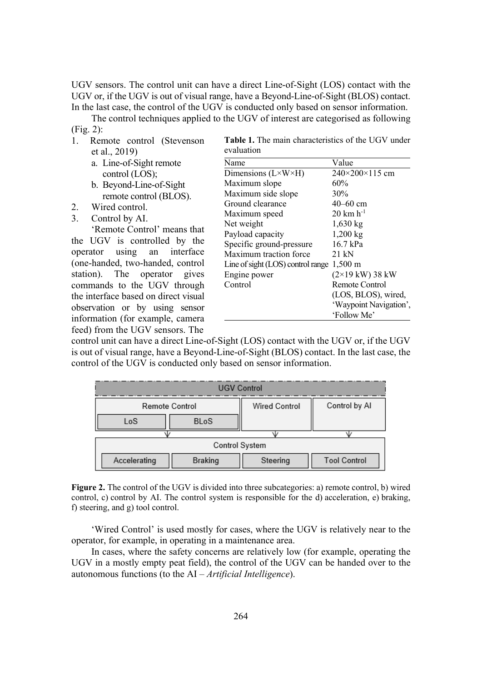UGV sensors. The control unit can have a direct Line-of-Sight (LOS) contact with the UGV or, if the UGV is out of visual range, have a Beyond-Line-of-Sight (BLOS) contact. In the last case, the control of the UGV is conducted only based on sensor information.

The control techniques applied to the UGV of interest are categorised as following (Fig. 2): Remote control (Stevenson **Table 1.** The main characteristics of the UGV under

| $\mathbf{I}$                                                                                                                                                                                                   | <b>INCITIONE COTTITION (SICVETISOIT</b> | <b>Table 1.</b> The main enaracteristics of the OOV ander<br>evaluation |                                |
|----------------------------------------------------------------------------------------------------------------------------------------------------------------------------------------------------------------|-----------------------------------------|-------------------------------------------------------------------------|--------------------------------|
|                                                                                                                                                                                                                | et al., $2019$ )                        |                                                                         |                                |
|                                                                                                                                                                                                                | a. Line-of-Sight remote                 | Name                                                                    | Value                          |
|                                                                                                                                                                                                                | control (LOS);                          | Dimensions $(L \times W \times H)$                                      | 240×200×115 cm                 |
|                                                                                                                                                                                                                | b. Beyond-Line-of-Sight                 | Maximum slope                                                           | 60%                            |
|                                                                                                                                                                                                                | remote control (BLOS).                  | Maximum side slope                                                      | 30%                            |
| 2.                                                                                                                                                                                                             | Wired control.                          | Ground clearance                                                        | $40 - 60$ cm                   |
| 3.<br>Control by AI.<br>'Remote Control' means that                                                                                                                                                            |                                         | Maximum speed                                                           | $20 \text{ km h}^{-1}$         |
|                                                                                                                                                                                                                |                                         | Net weight                                                              | $1,630 \text{ kg}$             |
|                                                                                                                                                                                                                |                                         | Payload capacity                                                        | $1,200$ kg                     |
|                                                                                                                                                                                                                | the UGV is controlled by the            | Specific ground-pressure                                                | 16.7 kPa                       |
| using an interface<br>operator<br>(one-handed, two-handed, control<br>station). The operator<br>gives<br>commands to the UGV through<br>the interface based on direct visual<br>observation or by using sensor |                                         | Maximum traction force                                                  | 21 kN                          |
|                                                                                                                                                                                                                |                                         | Line of sight $(LOS)$ control range $1,500$ m                           |                                |
|                                                                                                                                                                                                                |                                         | Engine power                                                            | $(2\times19 \text{ kW})$ 38 kW |
|                                                                                                                                                                                                                |                                         | Control                                                                 | Remote Control                 |
|                                                                                                                                                                                                                |                                         |                                                                         | (LOS, BLOS), wired,            |
|                                                                                                                                                                                                                |                                         |                                                                         | 'Waypoint Navigation',         |
|                                                                                                                                                                                                                | information (for example, camera        |                                                                         | 'Follow Me'                    |
|                                                                                                                                                                                                                |                                         |                                                                         |                                |

control unit can have a direct Line-of-Sight (LOS) contact with the UGV or, if the UGV is out of visual range, have a Beyond-Line-of-Sight (BLOS) contact. In the last case, the control of the UGV is conducted only based on sensor information.

feed) from the UGV sensors. The



**Figure 2.** The control of the UGV is divided into three subcategories: a) remote control, b) wired control, c) control by AI. The control system is responsible for the d) acceleration, e) braking, f) steering, and g) tool control.

'Wired Control' is used mostly for cases, where the UGV is relatively near to the operator, for example, in operating in a maintenance area.

In cases, where the safety concerns are relatively low (for example, operating the UGV in a mostly empty peat field), the control of the UGV can be handed over to the autonomous functions (to the AI – *Artificial Intelligence*).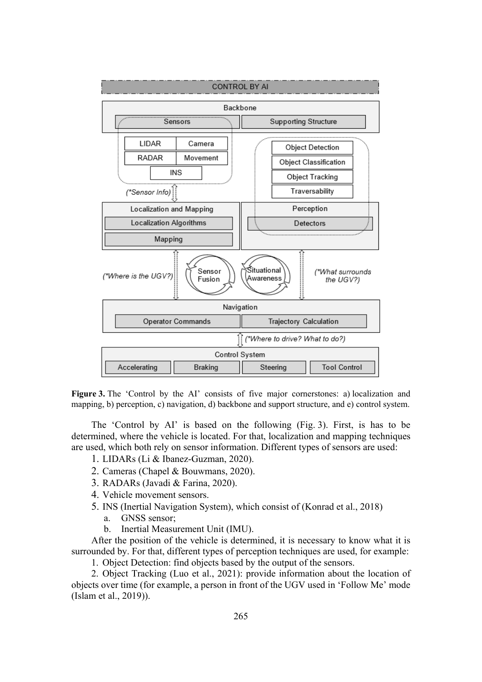

Figure 3. The 'Control by the AI' consists of five major cornerstones: a) localization and mapping, b) perception, c) navigation, d) backbone and support structure, and e) control system.

The 'Control by AI' is based on the following (Fig. 3). First, is has to be determined, where the vehicle is located. For that, localization and mapping techniques are used, which both rely on sensor information. Different types of sensors are used:

- 1. LIDARs (Li & Ibanez-Guzman, 2020).
- 2. Cameras (Chapel & Bouwmans, 2020).
- 3. RADARs (Javadi & Farina, 2020).
- 4. Vehicle movement sensors.
- 5. INS (Inertial Navigation System), which consist of (Konrad et al., 2018)
	- a. GNSS sensor;

(Islam et al., 2019)).

b. Inertial Measurement Unit (IMU).

After the position of the vehicle is determined, it is necessary to know what it is surrounded by. For that, different types of perception techniques are used, for example: 1. Object Detection: find objects based by the output of the sensors.

2. Object Tracking (Luo et al., 2021): provide information about the location of objects over time (for example, a person in front of the UGV used in 'Follow Me' mode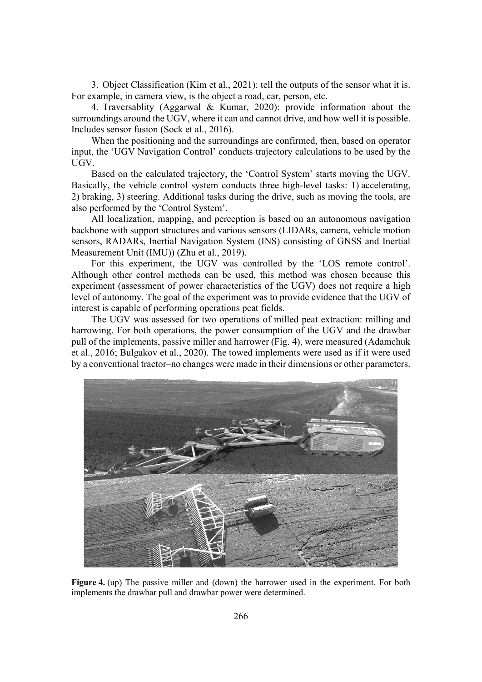3. Object Classification (Kim et al., 2021): tell the outputs of the sensor what it is. For example, in camera view, is the object a road, car, person, etc.

4. Traversablity (Aggarwal & Kumar, 2020): provide information about the surroundings around the UGV, where it can and cannot drive, and how well it is possible. Includes sensor fusion (Sock et al., 2016).

When the positioning and the surroundings are confirmed, then, based on operator input, the 'UGV Navigation Control' conducts trajectory calculations to be used by the UGV.

Based on the calculated trajectory, the 'Control System' starts moving the UGV. Basically, the vehicle control system conducts three high-level tasks: 1) accelerating, 2) braking, 3) steering. Additional tasks during the drive, such as moving the tools, are also performed by the 'Control System'.

All localization, mapping, and perception is based on an autonomous navigation backbone with support structures and various sensors (LIDARs, camera, vehicle motion sensors, RADARs, Inertial Navigation System (INS) consisting of GNSS and Inertial Measurement Unit (IMU)) (Zhu et al., 2019).

For this experiment, the UGV was controlled by the 'LOS remote control'. Although other control methods can be used, this method was chosen because this experiment (assessment of power characteristics of the UGV) does not require a high level of autonomy. The goal of the experiment was to provide evidence that the UGV of interest is capable of performing operations peat fields.

The UGV was assessed for two operations of milled peat extraction: milling and harrowing. For both operations, the power consumption of the UGV and the drawbar pull of the implements, passive miller and harrower (Fig. 4), were measured (Adamchuk et al., 2016; Bulgakov et al., 2020). The towed implements were used as if it were used by a conventional tractor–no changes were made in their dimensions or other parameters.



**Figure 4.** (up) The passive miller and (down) the harrower used in the experiment. For both implements the drawbar pull and drawbar power were determined.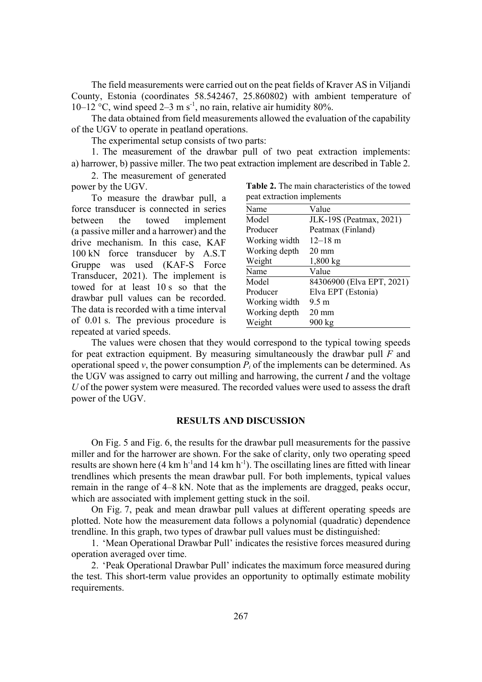The field measurements were carried out on the peat fields of Kraver AS in Viljandi County, Estonia (coordinates 58.542467, 25.860802) with ambient temperature of 10–12 °C, wind speed 2–3 m s<sup>-1</sup>, no rain, relative air humidity 80%.

The data obtained from field measurements allowed the evaluation of the capability of the UGV to operate in peatland operations.

The experimental setup consists of two parts:

1. The measurement of the drawbar pull of two peat extraction implements: a) harrower, b) passive miller. The two peat extraction implement are described in Table 2.

2. The measurement of generated power by the UGV.

To measure the drawbar pull, a force transducer is connected in series between the towed implement (a passive miller and a harrower) and the drive mechanism. In this case, KAF 100 kN force transducer by A.S.T Gruppe was used (KAF-S Force Transducer, 2021). The implement is towed for at least 10 s so that the drawbar pull values can be recorded. The data is recorded with a time interval of 0.01 s. The previous procedure is repeated at varied speeds.

**Table 2.** The main characteristics of the towed peat extraction implements

| Name          | Value                     |
|---------------|---------------------------|
| Model         | JLK-19S (Peatmax, 2021)   |
| Producer      | Peatmax (Finland)         |
| Working width | $12 - 18$ m               |
| Working depth | $20 \text{ mm}$           |
| Weight        | $1,800 \text{ kg}$        |
| Name          | Value                     |
| Model         | 84306900 (Elva EPT, 2021) |
| Producer      | Elva EPT (Estonia)        |
| Working width | $9.5 \text{ m}$           |
| Working depth | $20 \text{ mm}$           |
| Weight        | 900 kg                    |

The values were chosen that they would correspond to the typical towing speeds for peat extraction equipment. By measuring simultaneously the drawbar pull *F* and operational speed  $v$ , the power consumption  $P_i$  of the implements can be determined. As the UGV was assigned to carry out milling and harrowing, the current *I* and the voltage *U* of the power system were measured. The recorded values were used to assess the draft power of the UGV.

#### **RESULTS AND DISCUSSION**

On Fig. 5 and Fig. 6, the results for the drawbar pull measurements for the passive miller and for the harrower are shown. For the sake of clarity, only two operating speed results are shown here (4 km h<sup>-1</sup> and 14 km h<sup>-1</sup>). The oscillating lines are fitted with linear trendlines which presents the mean drawbar pull. For both implements, typical values remain in the range of 4–8 kN. Note that as the implements are dragged, peaks occur, which are associated with implement getting stuck in the soil.

On Fig. 7, peak and mean drawbar pull values at different operating speeds are plotted. Note how the measurement data follows a polynomial (quadratic) dependence trendline. In this graph, two types of drawbar pull values must be distinguished:

1. 'Mean Operational Drawbar Pull' indicates the resistive forces measured during operation averaged over time.

2. 'Peak Operational Drawbar Pull' indicates the maximum force measured during the test. This short-term value provides an opportunity to optimally estimate mobility requirements.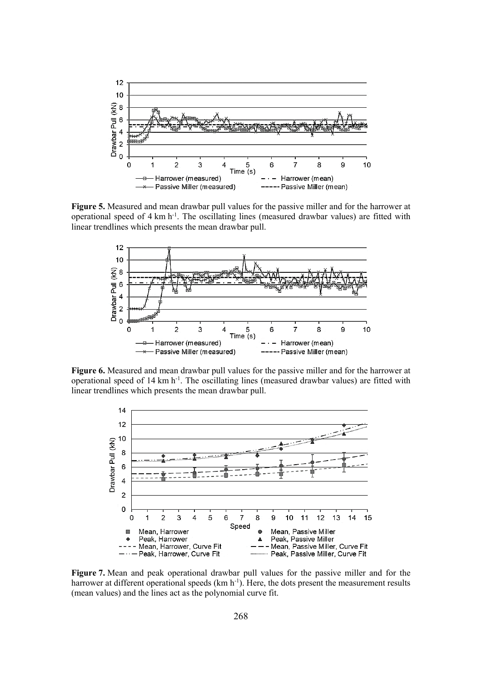

**Figure 5.** Measured and mean drawbar pull values for the passive miller and for the harrower at operational speed of 4 km h<sup>-1</sup>. The oscillating lines (measured drawbar values) are fitted with linear trendlines which presents the mean drawbar pull.



**Figure 6.** Measured and mean drawbar pull values for the passive miller and for the harrower at operational speed of 14 km h<sup>-1</sup>. The oscillating lines (measured drawbar values) are fitted with linear trendlines which presents the mean drawbar pull.



**Figure 7.** Mean and peak operational drawbar pull values for the passive miller and for the harrower at different operational speeds  $(km h^{-1})$ . Here, the dots present the measurement results (mean values) and the lines act as the polynomial curve fit.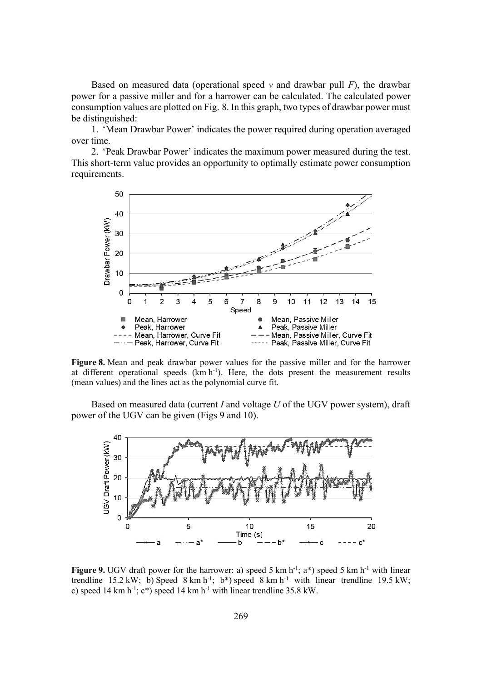Based on measured data (operational speed  $\nu$  and drawbar pull *F*), the drawbar power for a passive miller and for a harrower can be calculated. The calculated power consumption values are plotted on Fig. 8. In this graph, two types of drawbar power must be distinguished:

1. 'Mean Drawbar Power' indicates the power required during operation averaged over time.

2. 'Peak Drawbar Power' indicates the maximum power measured during the test. This short-term value provides an opportunity to optimally estimate power consumption requirements.



**Figure 8.** Mean and peak drawbar power values for the passive miller and for the harrower at different operational speeds  $(km h^{-1})$ . Here, the dots present the measurement results (mean values) and the lines act as the polynomial curve fit.

Based on measured data (current *I* and voltage *U* of the UGV power system), draft power of the UGV can be given (Figs 9 and 10).



**Figure 9.** UGV draft power for the harrower: a) speed 5 km h<sup>-1</sup>; a\*) speed 5 km h<sup>-1</sup> with linear trendline  $15.2 \text{ kW}$ ; b) Speed  $8 \text{ km h}^{-1}$ ; b\*) speed  $8 \text{ km h}^{-1}$  with linear trendline  $19.5 \text{ kW}$ ; c) speed 14 km h<sup>-1</sup>;  $c^*$ ) speed 14 km h<sup>-1</sup> with linear trendline 35.8 kW.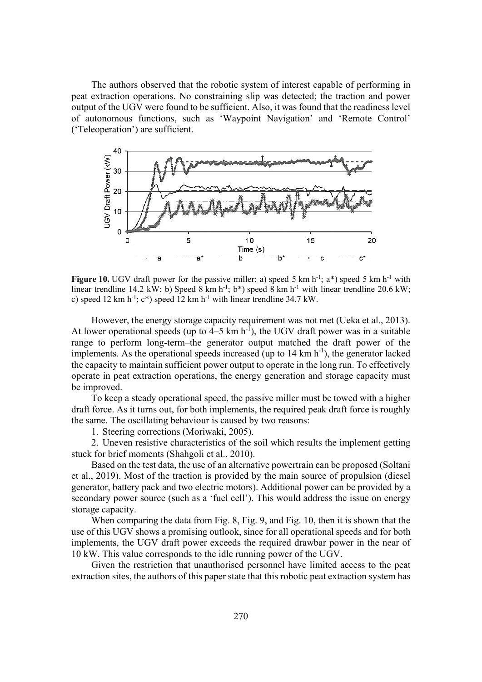The authors observed that the robotic system of interest capable of performing in peat extraction operations. No constraining slip was detected; the traction and power output of the UGV were found to be sufficient. Also, it was found that the readiness level of autonomous functions, such as 'Waypoint Navigation' and 'Remote Control' ('Teleoperation') are sufficient.



**Figure 10.** UGV draft power for the passive miller: a) speed 5 km  $h^{-1}$ ; a\*) speed 5 km  $h^{-1}$  with linear trendline 14.2 kW; b) Speed 8 km h<sup>-1</sup>; b\*) speed 8 km h<sup>-1</sup> with linear trendline 20.6 kW; c) speed 12 km h<sup>-1</sup>;  $c^*$ ) speed 12 km h<sup>-1</sup> with linear trendline 34.7 kW.

However, the energy storage capacity requirement was not met (Ueka et al., 2013). At lower operational speeds (up to  $4-5$  km h<sup>-1</sup>), the UGV draft power was in a suitable range to perform long-term–the generator output matched the draft power of the implements. As the operational speeds increased (up to  $14 \text{ km h}^{-1}$ ), the generator lacked the capacity to maintain sufficient power output to operate in the long run. To effectively operate in peat extraction operations, the energy generation and storage capacity must be improved.

To keep a steady operational speed, the passive miller must be towed with a higher draft force. As it turns out, for both implements, the required peak draft force is roughly the same. The oscillating behaviour is caused by two reasons:

1. Steering corrections (Moriwaki, 2005).

2. Uneven resistive characteristics of the soil which results the implement getting stuck for brief moments (Shahgoli et al., 2010).

Based on the test data, the use of an alternative powertrain can be proposed (Soltani et al., 2019). Most of the traction is provided by the main source of propulsion (diesel generator, battery pack and two electric motors). Additional power can be provided by a secondary power source (such as a 'fuel cell'). This would address the issue on energy storage capacity.

When comparing the data from Fig. 8, Fig. 9, and Fig. 10, then it is shown that the use of this UGV shows a promising outlook, since for all operational speeds and for both implements, the UGV draft power exceeds the required drawbar power in the near of 10 kW. This value corresponds to the idle running power of the UGV.

Given the restriction that unauthorised personnel have limited access to the peat extraction sites, the authors of this paper state that this robotic peat extraction system has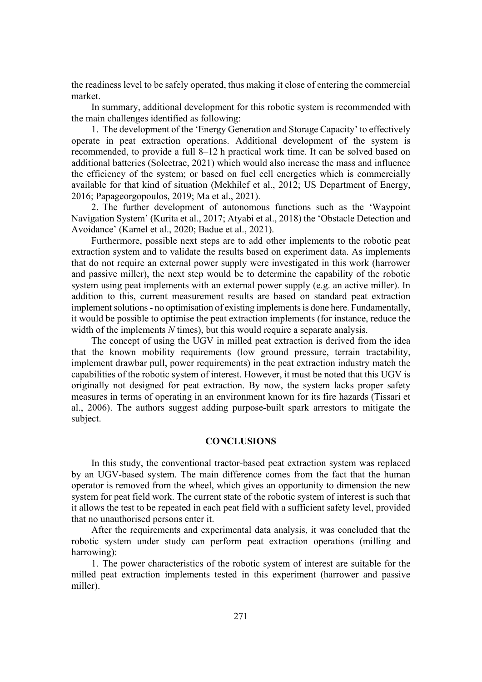the readiness level to be safely operated, thus making it close of entering the commercial market.

In summary, additional development for this robotic system is recommended with the main challenges identified as following:

1. The development of the 'Energy Generation and Storage Capacity' to effectively operate in peat extraction operations. Additional development of the system is recommended, to provide a full 8–12 h practical work time. It can be solved based on additional batteries (Solectrac, 2021) which would also increase the mass and influence the efficiency of the system; or based on fuel cell energetics which is commercially available for that kind of situation (Mekhilef et al., 2012; US Department of Energy, 2016; Papageorgopoulos, 2019; Ma et al., 2021).

2. The further development of autonomous functions such as the 'Waypoint Navigation System' (Kurita et al., 2017; Atyabi et al., 2018) the 'Obstacle Detection and Avoidance' (Kamel et al., 2020; Badue et al., 2021).

Furthermore, possible next steps are to add other implements to the robotic peat extraction system and to validate the results based on experiment data. As implements that do not require an external power supply were investigated in this work (harrower and passive miller), the next step would be to determine the capability of the robotic system using peat implements with an external power supply (e.g. an active miller). In addition to this, current measurement results are based on standard peat extraction implement solutions - no optimisation of existing implements is done here. Fundamentally, it would be possible to optimise the peat extraction implements (for instance, reduce the width of the implements *N* times), but this would require a separate analysis.

The concept of using the UGV in milled peat extraction is derived from the idea that the known mobility requirements (low ground pressure, terrain tractability, implement drawbar pull, power requirements) in the peat extraction industry match the capabilities of the robotic system of interest. However, it must be noted that this UGV is originally not designed for peat extraction. By now, the system lacks proper safety measures in terms of operating in an environment known for its fire hazards (Tissari et al., 2006). The authors suggest adding purpose-built spark arrestors to mitigate the subject.

## **CONCLUSIONS**

In this study, the conventional tractor-based peat extraction system was replaced by an UGV-based system. The main difference comes from the fact that the human operator is removed from the wheel, which gives an opportunity to dimension the new system for peat field work. The current state of the robotic system of interest is such that it allows the test to be repeated in each peat field with a sufficient safety level, provided that no unauthorised persons enter it.

After the requirements and experimental data analysis, it was concluded that the robotic system under study can perform peat extraction operations (milling and harrowing):

1. The power characteristics of the robotic system of interest are suitable for the milled peat extraction implements tested in this experiment (harrower and passive miller).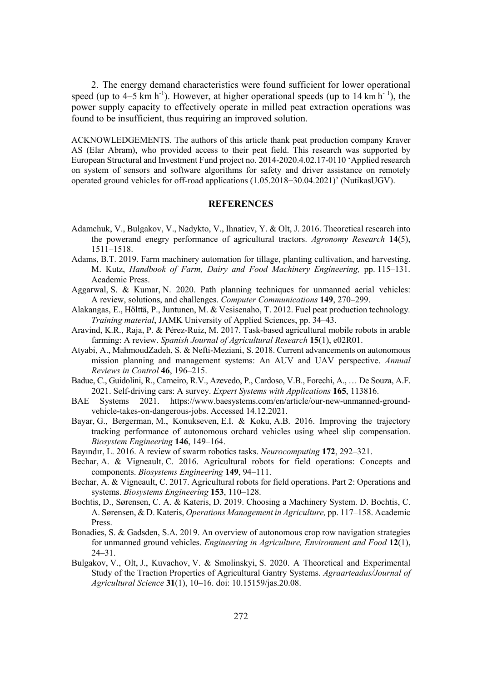2. The energy demand characteristics were found sufficient for lower operational speed (up to  $4-5$  km h<sup>-1</sup>). However, at higher operational speeds (up to  $14$  km h<sup>-1</sup>), the power supply capacity to effectively operate in milled peat extraction operations was found to be insufficient, thus requiring an improved solution.

ACKNOWLEDGEMENTS. The authors of this article thank peat production company Kraver AS (Elar Abram), who provided access to their peat field. This research was supported by European Structural and Investment Fund project no. 2014-2020.4.02.17-0110 'Applied research on system of sensors and software algorithms for safety and driver assistance on remotely operated ground vehicles for off-road applications (1.05.2018–30.04.2021)' (NutikasUGV).

#### **REFERENCES**

- Adamchuk, V., Bulgakov, V., Nadykto, V., Ihnatiev, Y. & Olt, J. 2016. Theoretical research into the powerand enegry performance of agricultural tractors. *Agronomy Research* **14**(5), 1511–1518.
- Adams, B.T. 2019. Farm machinery automation for tillage, planting cultivation, and harvesting. M. Kutz, *Handbook of Farm, Dairy and Food Machinery Engineering, pp. 115–131.* Academic Press.
- Aggarwal, S. & Kumar, N. 2020. Path planning techniques for unmanned aerial vehicles: A review, solutions, and challenges. *Computer Communications* 149, 270–299.
- Alakangas, E., Hölttä, P., Juntunen, M. & Vesisenaho, T. 2012. Fuel peat production technology*. Training material, JAMK University of Applied Sciences, pp. 34–43.*
- Aravind, K.R., Raja, P. & Pérez-Ruiz, M. 2017. Task-based agricultural mobile robots in arable farming: A review. *Spanish Journal of Agricultural Research* 15(1), e02R01.
- Atyabi, A., MahmoudZadeh, S. & Nefti-Meziani, S. 2018. Current advancements on autonomous mission planning and management systems: An AUV and UAV perspective. *Annual 5HYLHZVLQ&RQWURO***46**, 196–215.
- Badue, C., Guidolini, R., Carneiro, R.V., Azevedo, P., Cardoso, V.B., Forechi, A., … De Souza, A.F. 2021. Self-driving cars: A survey. *Expert Systems with Applications* **165**, 113816.
- BAE Systems 2021. https://www.baesystems.com/en/article/our-new-unmanned-groundvehicle-takes-on-dangerous-jobs. Accessed 14.12.2021.
- Bayar, G., Bergerman, M., Konukseven, E.I. & Koku, A.B. 2016. Improving the trajectory tracking performance of autonomous orchard vehicles using wheel slip compensation. *Biosystem Engineering* 146, 149–164.
- Bayındır, L. 2016. A review of swarm robotics tasks. *Neurocomputing* 172, 292–321.
- Bechar, A. & Vigneault, C. 2016. Agricultural robots for field operations: Concepts and components. *Biosystems Engineering* 149, 94–111.
- Bechar, A. & Vigneault, C. 2017. Agricultural robots for field operations. Part 2: Operations and systems. *Biosystems Engineering* 153, 110–128.
- Bochtis, D., Sørensen, C. A. & Kateris, D. 2019. Choosing a Machinery System. D. Bochtis, C. A. Sørensen, & D. Kateris, *Operations Management in Agriculture*, pp. 117–158. Academic Press.
- Bonadies, S. & Gadsden, S.A. 2019. An overview of autonomous crop row navigation strategies for unmanned ground vehicles. *Engineering in Agriculture*, *Environment and Food* 12(1), 24–31.
- Bulgakov, V., Olt, J., Kuvachov, V. & Smolinskyi, S. 2020. A Theoretical and Experimental Study of the Traction Properties of Agricultural Gantry Systems. *Agraarteadus/Journal of \$JULFXOWXUDO6FLHQFH* **31**(1), 10–16. doi: 10.15159/jas.20.08.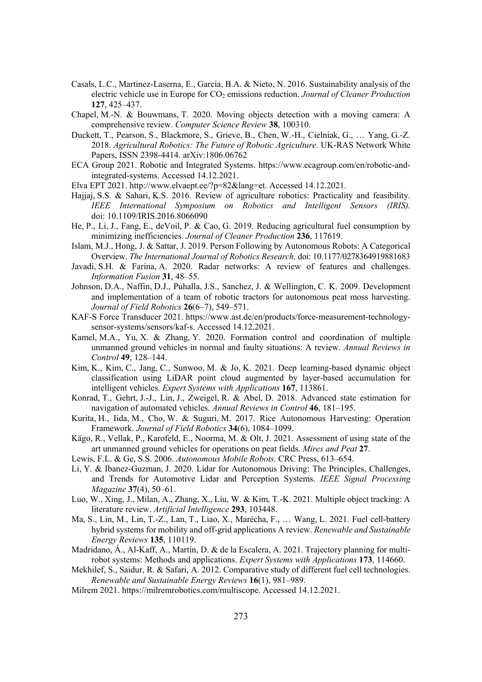- Casals, L.C., Martinez-Laserna, E., Garcia, B.A. & Nieto, N. 2016. Sustainability analysis of the electric vehicle use in Europe for CO<sub>2</sub> emissions reduction. *Journal of Cleaner Production* **127**, 425–437.
- Chapel, M.-N. & Bouwmans, T. 2020. Moving objects detection with a moving camera: A comprehensive review. *Computer Science Review* 38, 100310.
- Duckett, T., Pearson, S., Blackmore, S., Grieve, B., Chen, W.-H., Cielniak, G., … Yang, G.-Z. 2018. *Agricultural Robotics: The Future of Robotic Agriculture*. UK-RAS Network White Papers, ISSN 2398-4414. arXiv:1806.06762
- ECA Group 2021. Robotic and Integrated Systems. https://www.ecagroup.com/en/robotic-andintegrated-systems. Accessed 14.12.2021.
- Elva EPT 2021. http://www.elvaept.ee/?p=82&lang=et. Accessed 14.12.2021.
- Hajjaj, S.S. & Sahari, K.S. 2016. Review of agriculture robotics: Practicality and feasibility. *IEEE International Symposium on Robotics and Intelligent Sensors (IRIS).* doi: 10.1109/IRIS.2016.8066090
- He, P., Li, J., Fang, E., deVoil, P. & Cao, G. 2019. Reducing agricultural fuel consumption by minimizing inefficiencies. *Journal of Cleaner Production* 236, 117619.
- Islam, M.J., Hong, J. & Sattar, J. 2019. Person Following by Autonomous Robots: A Categorical Overview. *The International Journal of Robotics Research*. doi: 10.1177/0278364919881683
- Javadi, S.H. & Farina, A. 2020. Radar networks: A review of features and challenges. *Information Fusion* 31, 48–55.
- Johnson, D.A., Naffin, D.J., Puhalla, J.S., Sanchez, J. & Wellington, C. K. 2009. Development and implementation of a team of robotic tractors for autonomous peat moss harvesting. *Journal of Field Robotics* 26(6–7), 549–571.
- KAF-S Force Transducer 2021. https://www.ast.de/en/products/force-measurement-technologysensor-systems/sensors/kaf-s. Accessed 14.12.2021.
- Kamel, M.A., Yu, X. & Zhang, Y. 2020. Formation control and coordination of multiple unmanned ground vehicles in normal and faulty situations: A review. *Annual Reviews in* Control 49, 128-144.
- Kim, K., Kim, C., Jang, C., Sunwoo, M. & Jo, K. 2021. Deep learning-based dynamic object classification using LiDAR point cloud augmented by layer-based accumulation for intelligent vehicles. *Expert Systems with Applications* 167, 113861.
- Konrad, T., Gehrt, J.-J., Lin, J., Zweigel, R. & Abel, D. 2018. Advanced state estimation for navigation of automated vehicles. *Annual Reviews in Control* 46, 181–195.
- Kurita, H., Iida, M., Cho, W. & Suguri, M. 2017. Rice Autonomous Harvesting: Operation Framework. *Journal of Field Robotics* 34(6), 1084–1099.
- Kägo, R., Vellak, P., Karofeld, E., Noorma, M. & Olt, J. 2021. Assessment of using state of the art unmanned ground vehicles for operations on peat fields. *Mires and Peat* 27.
- Lewis, F.L. & Ge, S.S. 2006. *Autonomous Mobile Robots*. CRC Press, 613–654.
- Li, Y. & Ibanez-Guzman, J. 2020. Lidar for Autonomous Driving: The Principles, Challenges, and Trends for Automotive Lidar and Perception Systems. *IEEE Signal Processing Magazine* 37(4), 50–61.
- Luo, W., Xing, J., Milan, A., Zhang, X., Liu, W. & Kim, T.-K. 2021. Multiple object tracking: A literature review. Artificial Intelligence 293, 103448.
- Ma, S., Lin, M., Lin, T.-Z., Lan, T., Liao, X., Marécha, F., … Wang, L. 2021. Fuel cell-battery hybrid systems for mobility and off-grid applications A review. *Renewable and Sustainable Energy Reviews* 135, 110119.
- Madridano, Á., Al-Kaff, A., Martín, D. & de la Escalera, A. 2021. Trajectory planning for multirobot systems: Methods and applications. *Expert Systems with Applications* 173, 114660.
- Mekhilef, S., Saidur, R. & Safari, A. 2012. Comparative study of different fuel cell technologies. *Renewable and Sustainable Energy Reviews* 16(1), 981–989.
- Milrem 2021. https://milremrobotics.com/multiscope. Accessed 14.12.2021.